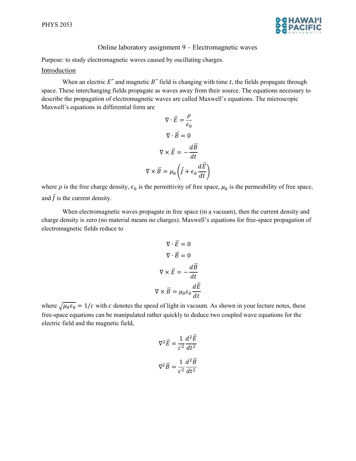

## Online laboratory assignment 9 – Electromagnetic waves

Purpose: to study electromagnetic waves caused by oscillating charges.

## Introduction

When an electric  $E^*$  and magnetic  $B^*$  field is changing with time t, the fields propagate through space. These interchanging fields propagate as waves away from their source. The equations necessary to describe the propagation of electromagnetic waves are called Maxwell's equations. The microscopic Maxwell's equations in differential form are

$$
\nabla \cdot \vec{E} = \frac{\rho}{\epsilon_0}
$$

$$
\nabla \cdot \vec{B} = 0
$$

$$
\nabla \times \vec{E} = -\frac{d\vec{B}}{dt}
$$

$$
\nabla \times \vec{B} = \mu_0 \left( \vec{J} + \epsilon_0 \frac{d\vec{E}}{dt} \right)
$$

where  $\rho$  is the free charge density,  $\epsilon_0$  is the permittivity of free space,  $\mu_0$  is the permeability of free space, and  $\vec{J}$  is the current density.

When electromagnetic waves propagate in free space (in a vacuum), then the current density and charge density is zero (no material means no charges). Maxwell's equations for free-space propagation of electromagnetic fields reduce to

$$
\nabla \cdot \vec{E} = 0
$$

$$
\nabla \cdot \vec{B} = 0
$$

$$
\nabla \times \vec{E} = -\frac{d\vec{B}}{dt}
$$

$$
\nabla \times \vec{B} = \mu_0 \epsilon_0 \frac{d\vec{E}}{dt}
$$

where  $\sqrt{\mu_0 \epsilon_0} = 1/c$  with c denotes the speed of light in vacuum. As shown in your lecture notes, these free-space equations can be manipulated rather quickly to deduce two coupled wave equations for the electric field and the magnetic field,

$$
\nabla^2 \vec{E} = \frac{1}{c^2} \frac{d^2 \vec{E}}{dt^2}
$$

$$
\nabla^2 \vec{B} = \frac{1}{c^2} \frac{d^2 \vec{B}}{dt^2}
$$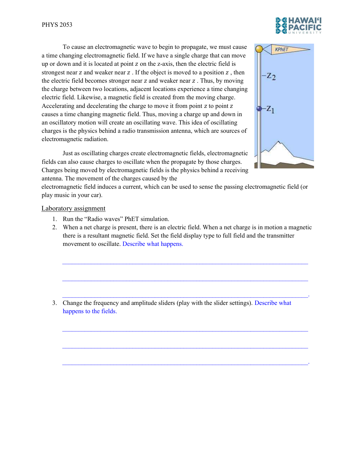To cause an electromagnetic wave to begin to propagate, we must cause a time changing electromagnetic field. If we have a single charge that can move up or down and it is located at point z on the z-axis, then the electric field is strongest near  $z$  and weaker near  $z$ . If the object is moved to a position  $z$ , then the electric field becomes stronger near  $z$  and weaker near  $z$ . Thus, by moving the charge between two locations, adjacent locations experience a time changing electric field. Likewise, a magnetic field is created from the moving charge. Accelerating and decelerating the charge to move it from point  $z$  to point  $z$ causes a time changing magnetic field. Thus, moving a charge up and down in an oscillatory motion will create an oscillating wave. This idea of oscillating charges is the physics behind a radio transmission antenna, which are sources of electromagnetic radiation.

 Just as oscillating charges create electromagnetic fields, electromagnetic fields can also cause charges to oscillate when the propagate by those charges. Charges being moved by electromagnetic fields is the physics behind a receiving antenna. The movement of the charges caused by the

electromagnetic field induces a current, which can be used to sense the passing electromagnetic field (or play music in your car).

## Laboratory assignment

- 1. Run the "Radio waves" PhET simulation.
- 2. When a net charge is present, there is an electric field. When a net charge is in motion a magnetic there is a resultant magnetic field. Set the field display type to full field and the transmitter movement to oscillate. Describe what happens.

 $\mathcal{L}_\mathcal{L} = \{ \mathcal{L}_\mathcal{L} = \{ \mathcal{L}_\mathcal{L} = \{ \mathcal{L}_\mathcal{L} = \{ \mathcal{L}_\mathcal{L} = \{ \mathcal{L}_\mathcal{L} = \{ \mathcal{L}_\mathcal{L} = \{ \mathcal{L}_\mathcal{L} = \{ \mathcal{L}_\mathcal{L} = \{ \mathcal{L}_\mathcal{L} = \{ \mathcal{L}_\mathcal{L} = \{ \mathcal{L}_\mathcal{L} = \{ \mathcal{L}_\mathcal{L} = \{ \mathcal{L}_\mathcal{L} = \{ \mathcal{L}_\mathcal{$ 

 $\mathcal{L}_\mathcal{L} = \{ \mathcal{L}_\mathcal{L} = \{ \mathcal{L}_\mathcal{L} = \{ \mathcal{L}_\mathcal{L} = \{ \mathcal{L}_\mathcal{L} = \{ \mathcal{L}_\mathcal{L} = \{ \mathcal{L}_\mathcal{L} = \{ \mathcal{L}_\mathcal{L} = \{ \mathcal{L}_\mathcal{L} = \{ \mathcal{L}_\mathcal{L} = \{ \mathcal{L}_\mathcal{L} = \{ \mathcal{L}_\mathcal{L} = \{ \mathcal{L}_\mathcal{L} = \{ \mathcal{L}_\mathcal{L} = \{ \mathcal{L}_\mathcal{$ 

 $\mathcal{L}_\mathcal{L} = \mathcal{L}_\mathcal{L} = \mathcal{L}_\mathcal{L} = \mathcal{L}_\mathcal{L} = \mathcal{L}_\mathcal{L} = \mathcal{L}_\mathcal{L} = \mathcal{L}_\mathcal{L} = \mathcal{L}_\mathcal{L} = \mathcal{L}_\mathcal{L} = \mathcal{L}_\mathcal{L} = \mathcal{L}_\mathcal{L} = \mathcal{L}_\mathcal{L} = \mathcal{L}_\mathcal{L} = \mathcal{L}_\mathcal{L} = \mathcal{L}_\mathcal{L} = \mathcal{L}_\mathcal{L} = \mathcal{L}_\mathcal{L}$ 

 $\mathcal{L}_\mathcal{L} = \{ \mathcal{L}_\mathcal{L} = \{ \mathcal{L}_\mathcal{L} = \{ \mathcal{L}_\mathcal{L} = \{ \mathcal{L}_\mathcal{L} = \{ \mathcal{L}_\mathcal{L} = \{ \mathcal{L}_\mathcal{L} = \{ \mathcal{L}_\mathcal{L} = \{ \mathcal{L}_\mathcal{L} = \{ \mathcal{L}_\mathcal{L} = \{ \mathcal{L}_\mathcal{L} = \{ \mathcal{L}_\mathcal{L} = \{ \mathcal{L}_\mathcal{L} = \{ \mathcal{L}_\mathcal{L} = \{ \mathcal{L}_\mathcal{$ 

 $\mathcal{L}_\mathcal{L} = \{ \mathcal{L}_\mathcal{L} = \{ \mathcal{L}_\mathcal{L} = \{ \mathcal{L}_\mathcal{L} = \{ \mathcal{L}_\mathcal{L} = \{ \mathcal{L}_\mathcal{L} = \{ \mathcal{L}_\mathcal{L} = \{ \mathcal{L}_\mathcal{L} = \{ \mathcal{L}_\mathcal{L} = \{ \mathcal{L}_\mathcal{L} = \{ \mathcal{L}_\mathcal{L} = \{ \mathcal{L}_\mathcal{L} = \{ \mathcal{L}_\mathcal{L} = \{ \mathcal{L}_\mathcal{L} = \{ \mathcal{L}_\mathcal{$ 

 $\mathcal{L}_\mathcal{L} = \mathcal{L}_\mathcal{L} = \mathcal{L}_\mathcal{L} = \mathcal{L}_\mathcal{L} = \mathcal{L}_\mathcal{L} = \mathcal{L}_\mathcal{L} = \mathcal{L}_\mathcal{L} = \mathcal{L}_\mathcal{L} = \mathcal{L}_\mathcal{L} = \mathcal{L}_\mathcal{L} = \mathcal{L}_\mathcal{L} = \mathcal{L}_\mathcal{L} = \mathcal{L}_\mathcal{L} = \mathcal{L}_\mathcal{L} = \mathcal{L}_\mathcal{L} = \mathcal{L}_\mathcal{L} = \mathcal{L}_\mathcal{L}$ 

3. Change the frequency and amplitude sliders (play with the slider settings). Describe what happens to the fields.



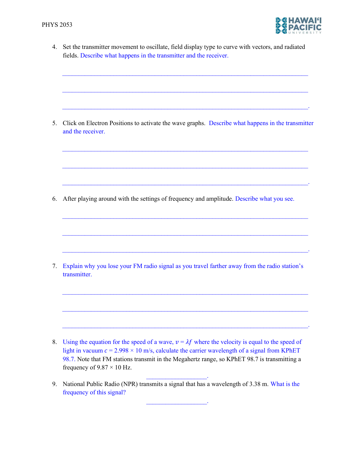

4. Set the transmitter movement to oscillate, field display type to curve with vectors, and radiated fields. Describe what happens in the transmitter and the receiver.

 $\mathcal{L}_\mathcal{L} = \{ \mathcal{L}_\mathcal{L} = \{ \mathcal{L}_\mathcal{L} = \{ \mathcal{L}_\mathcal{L} = \{ \mathcal{L}_\mathcal{L} = \{ \mathcal{L}_\mathcal{L} = \{ \mathcal{L}_\mathcal{L} = \{ \mathcal{L}_\mathcal{L} = \{ \mathcal{L}_\mathcal{L} = \{ \mathcal{L}_\mathcal{L} = \{ \mathcal{L}_\mathcal{L} = \{ \mathcal{L}_\mathcal{L} = \{ \mathcal{L}_\mathcal{L} = \{ \mathcal{L}_\mathcal{L} = \{ \mathcal{L}_\mathcal{$ 

 $\mathcal{L}_\mathcal{L} = \{ \mathcal{L}_\mathcal{L} = \{ \mathcal{L}_\mathcal{L} = \{ \mathcal{L}_\mathcal{L} = \{ \mathcal{L}_\mathcal{L} = \{ \mathcal{L}_\mathcal{L} = \{ \mathcal{L}_\mathcal{L} = \{ \mathcal{L}_\mathcal{L} = \{ \mathcal{L}_\mathcal{L} = \{ \mathcal{L}_\mathcal{L} = \{ \mathcal{L}_\mathcal{L} = \{ \mathcal{L}_\mathcal{L} = \{ \mathcal{L}_\mathcal{L} = \{ \mathcal{L}_\mathcal{L} = \{ \mathcal{L}_\mathcal{$ 

 $\mathcal{L}_\mathcal{L} = \mathcal{L}_\mathcal{L} = \mathcal{L}_\mathcal{L} = \mathcal{L}_\mathcal{L} = \mathcal{L}_\mathcal{L} = \mathcal{L}_\mathcal{L} = \mathcal{L}_\mathcal{L} = \mathcal{L}_\mathcal{L} = \mathcal{L}_\mathcal{L} = \mathcal{L}_\mathcal{L} = \mathcal{L}_\mathcal{L} = \mathcal{L}_\mathcal{L} = \mathcal{L}_\mathcal{L} = \mathcal{L}_\mathcal{L} = \mathcal{L}_\mathcal{L} = \mathcal{L}_\mathcal{L} = \mathcal{L}_\mathcal{L}$ 

5. Click on Electron Positions to activate the wave graphs. Describe what happens in the transmitter and the receiver.

 $\mathcal{L}_\mathcal{L} = \{ \mathcal{L}_\mathcal{L} = \{ \mathcal{L}_\mathcal{L} = \{ \mathcal{L}_\mathcal{L} = \{ \mathcal{L}_\mathcal{L} = \{ \mathcal{L}_\mathcal{L} = \{ \mathcal{L}_\mathcal{L} = \{ \mathcal{L}_\mathcal{L} = \{ \mathcal{L}_\mathcal{L} = \{ \mathcal{L}_\mathcal{L} = \{ \mathcal{L}_\mathcal{L} = \{ \mathcal{L}_\mathcal{L} = \{ \mathcal{L}_\mathcal{L} = \{ \mathcal{L}_\mathcal{L} = \{ \mathcal{L}_\mathcal{$ 

 $\mathcal{L}_\mathcal{L} = \mathcal{L}_\mathcal{L} = \mathcal{L}_\mathcal{L} = \mathcal{L}_\mathcal{L} = \mathcal{L}_\mathcal{L} = \mathcal{L}_\mathcal{L} = \mathcal{L}_\mathcal{L} = \mathcal{L}_\mathcal{L} = \mathcal{L}_\mathcal{L} = \mathcal{L}_\mathcal{L} = \mathcal{L}_\mathcal{L} = \mathcal{L}_\mathcal{L} = \mathcal{L}_\mathcal{L} = \mathcal{L}_\mathcal{L} = \mathcal{L}_\mathcal{L} = \mathcal{L}_\mathcal{L} = \mathcal{L}_\mathcal{L}$ 

 $\mathcal{L}_\mathcal{L} = \mathcal{L}_\mathcal{L} = \mathcal{L}_\mathcal{L} = \mathcal{L}_\mathcal{L} = \mathcal{L}_\mathcal{L} = \mathcal{L}_\mathcal{L} = \mathcal{L}_\mathcal{L} = \mathcal{L}_\mathcal{L} = \mathcal{L}_\mathcal{L} = \mathcal{L}_\mathcal{L} = \mathcal{L}_\mathcal{L} = \mathcal{L}_\mathcal{L} = \mathcal{L}_\mathcal{L} = \mathcal{L}_\mathcal{L} = \mathcal{L}_\mathcal{L} = \mathcal{L}_\mathcal{L} = \mathcal{L}_\mathcal{L}$ 

 $\mathcal{L}_\mathcal{L} = \mathcal{L}_\mathcal{L} = \mathcal{L}_\mathcal{L} = \mathcal{L}_\mathcal{L} = \mathcal{L}_\mathcal{L} = \mathcal{L}_\mathcal{L} = \mathcal{L}_\mathcal{L} = \mathcal{L}_\mathcal{L} = \mathcal{L}_\mathcal{L} = \mathcal{L}_\mathcal{L} = \mathcal{L}_\mathcal{L} = \mathcal{L}_\mathcal{L} = \mathcal{L}_\mathcal{L} = \mathcal{L}_\mathcal{L} = \mathcal{L}_\mathcal{L} = \mathcal{L}_\mathcal{L} = \mathcal{L}_\mathcal{L}$ 

 $\mathcal{L}_\mathcal{L} = \{ \mathcal{L}_\mathcal{L} = \{ \mathcal{L}_\mathcal{L} = \{ \mathcal{L}_\mathcal{L} = \{ \mathcal{L}_\mathcal{L} = \{ \mathcal{L}_\mathcal{L} = \{ \mathcal{L}_\mathcal{L} = \{ \mathcal{L}_\mathcal{L} = \{ \mathcal{L}_\mathcal{L} = \{ \mathcal{L}_\mathcal{L} = \{ \mathcal{L}_\mathcal{L} = \{ \mathcal{L}_\mathcal{L} = \{ \mathcal{L}_\mathcal{L} = \{ \mathcal{L}_\mathcal{L} = \{ \mathcal{L}_\mathcal{$ 

 $\mathcal{L}_\mathcal{L} = \mathcal{L}_\mathcal{L} = \mathcal{L}_\mathcal{L} = \mathcal{L}_\mathcal{L} = \mathcal{L}_\mathcal{L} = \mathcal{L}_\mathcal{L} = \mathcal{L}_\mathcal{L} = \mathcal{L}_\mathcal{L} = \mathcal{L}_\mathcal{L} = \mathcal{L}_\mathcal{L} = \mathcal{L}_\mathcal{L} = \mathcal{L}_\mathcal{L} = \mathcal{L}_\mathcal{L} = \mathcal{L}_\mathcal{L} = \mathcal{L}_\mathcal{L} = \mathcal{L}_\mathcal{L} = \mathcal{L}_\mathcal{L}$ 

 $\mathcal{L}_\mathcal{L} = \{ \mathcal{L}_\mathcal{L} = \{ \mathcal{L}_\mathcal{L} = \{ \mathcal{L}_\mathcal{L} = \{ \mathcal{L}_\mathcal{L} = \{ \mathcal{L}_\mathcal{L} = \{ \mathcal{L}_\mathcal{L} = \{ \mathcal{L}_\mathcal{L} = \{ \mathcal{L}_\mathcal{L} = \{ \mathcal{L}_\mathcal{L} = \{ \mathcal{L}_\mathcal{L} = \{ \mathcal{L}_\mathcal{L} = \{ \mathcal{L}_\mathcal{L} = \{ \mathcal{L}_\mathcal{L} = \{ \mathcal{L}_\mathcal{$ 

 $\mathcal{L}_\mathcal{L} = \{ \mathcal{L}_\mathcal{L} = \{ \mathcal{L}_\mathcal{L} = \{ \mathcal{L}_\mathcal{L} = \{ \mathcal{L}_\mathcal{L} = \{ \mathcal{L}_\mathcal{L} = \{ \mathcal{L}_\mathcal{L} = \{ \mathcal{L}_\mathcal{L} = \{ \mathcal{L}_\mathcal{L} = \{ \mathcal{L}_\mathcal{L} = \{ \mathcal{L}_\mathcal{L} = \{ \mathcal{L}_\mathcal{L} = \{ \mathcal{L}_\mathcal{L} = \{ \mathcal{L}_\mathcal{L} = \{ \mathcal{L}_\mathcal{$ 

 $\mathcal{L}_\mathcal{L} = \mathcal{L}_\mathcal{L} = \mathcal{L}_\mathcal{L} = \mathcal{L}_\mathcal{L} = \mathcal{L}_\mathcal{L} = \mathcal{L}_\mathcal{L} = \mathcal{L}_\mathcal{L} = \mathcal{L}_\mathcal{L} = \mathcal{L}_\mathcal{L} = \mathcal{L}_\mathcal{L} = \mathcal{L}_\mathcal{L} = \mathcal{L}_\mathcal{L} = \mathcal{L}_\mathcal{L} = \mathcal{L}_\mathcal{L} = \mathcal{L}_\mathcal{L} = \mathcal{L}_\mathcal{L} = \mathcal{L}_\mathcal{L}$ 

6. After playing around with the settings of frequency and amplitude. Describe what you see.

7. Explain why you lose your FM radio signal as you travel farther away from the radio station's transmitter.

- 8. Using the equation for the speed of a wave,  $v = \lambda f$  where the velocity is equal to the speed of light in vacuum  $c = 2.998 \times 10$  m/s, calculate the carrier wavelength of a signal from KPhET 98.7. Note that FM stations transmit in the Megahertz range, so KPhET 98.7 is transmitting a frequency of  $9.87 \times 10$  Hz.
- 9. National Public Radio (NPR) transmits a signal that has a wavelength of 3.38 m. What is the frequency of this signal?

 $\mathcal{L}_\text{max}$  and  $\mathcal{L}_\text{max}$  and  $\mathcal{L}_\text{max}$ 

\_\_\_\_\_\_\_\_\_\_\_\_\_\_\_\_\_\_\_.